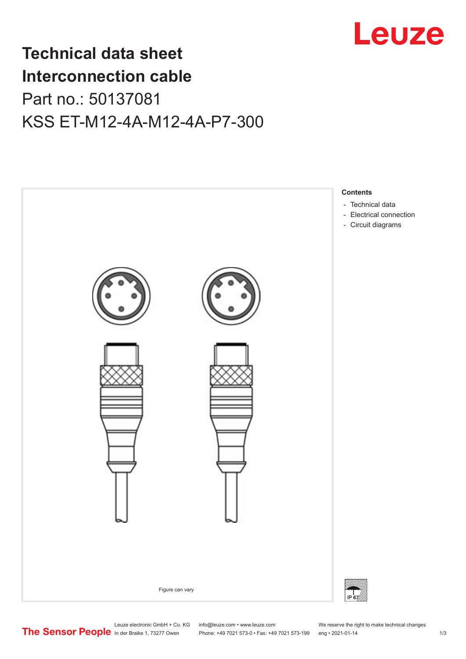

## **Technical data sheet Interconnection cable** Part no.: 50137081 KSS ET-M12-4A-M12-4A-P7-300



Leuze electronic GmbH + Co. KG info@leuze.com • www.leuze.com We reserve the right to make technical changes<br> **The Sensor People** in der Braike 1, 73277 Owen Phone: +49 7021 573-0 • Fax: +49 7021 573-199 eng • 2021-01-14

Phone: +49 7021 573-0 • Fax: +49 7021 573-199 eng • 2021-01-14 1 73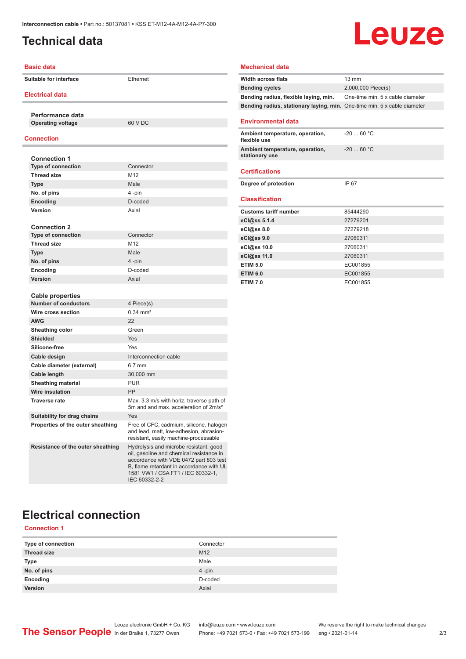## <span id="page-1-0"></span>**Technical data**

# Leuze

| <b>Basic data</b>                            |                                                                                                                                                                                                                                | <b>Mechanical data</b>                     |
|----------------------------------------------|--------------------------------------------------------------------------------------------------------------------------------------------------------------------------------------------------------------------------------|--------------------------------------------|
| <b>Suitable for interface</b>                | Ethernet                                                                                                                                                                                                                       | <b>Width across flats</b>                  |
|                                              |                                                                                                                                                                                                                                | <b>Bending cycles</b>                      |
| <b>Electrical data</b>                       |                                                                                                                                                                                                                                | Bending radius, fle                        |
|                                              |                                                                                                                                                                                                                                | Bending radius, st                         |
| Performance data<br><b>Operating voltage</b> | 60 V DC                                                                                                                                                                                                                        | <b>Environmental d</b>                     |
|                                              |                                                                                                                                                                                                                                |                                            |
| Connection                                   |                                                                                                                                                                                                                                | <b>Ambient temperatu</b><br>flexible use   |
| <b>Connection 1</b>                          |                                                                                                                                                                                                                                | <b>Ambient temperatu</b><br>stationary use |
| <b>Type of connection</b>                    | Connector                                                                                                                                                                                                                      |                                            |
| <b>Thread size</b>                           | M <sub>12</sub>                                                                                                                                                                                                                | <b>Certifications</b>                      |
| <b>Type</b>                                  | Male                                                                                                                                                                                                                           | Degree of protectio                        |
| No. of pins                                  | 4-pin                                                                                                                                                                                                                          |                                            |
| <b>Encoding</b>                              | D-coded                                                                                                                                                                                                                        | <b>Classification</b>                      |
| Version                                      | Axial                                                                                                                                                                                                                          | <b>Customs tariff nun</b>                  |
|                                              |                                                                                                                                                                                                                                | eCl@ss 5.1.4                               |
| <b>Connection 2</b>                          |                                                                                                                                                                                                                                | eCl@ss 8.0                                 |
| <b>Type of connection</b>                    | Connector                                                                                                                                                                                                                      | eCl@ss 9.0                                 |
| <b>Thread size</b>                           | M12                                                                                                                                                                                                                            | eCl@ss 10.0                                |
| <b>Type</b>                                  | Male                                                                                                                                                                                                                           | eCl@ss 11.0                                |
| No. of pins                                  | 4-pin                                                                                                                                                                                                                          | <b>ETIM 5.0</b>                            |
| Encoding                                     | D-coded                                                                                                                                                                                                                        | <b>ETIM 6.0</b>                            |
| <b>Version</b>                               | Axial                                                                                                                                                                                                                          | <b>ETIM 7.0</b>                            |
|                                              |                                                                                                                                                                                                                                |                                            |
| <b>Cable properties</b>                      |                                                                                                                                                                                                                                |                                            |
| <b>Number of conductors</b>                  | 4 Piece(s)                                                                                                                                                                                                                     |                                            |
| Wire cross section                           | $0.34 \, \text{mm}^2$                                                                                                                                                                                                          |                                            |
| <b>AWG</b>                                   | 22                                                                                                                                                                                                                             |                                            |
| Sheathing color                              | Green                                                                                                                                                                                                                          |                                            |
| <b>Shielded</b>                              | Yes                                                                                                                                                                                                                            |                                            |
| Silicone-free                                | Yes                                                                                                                                                                                                                            |                                            |
| Cable design                                 | Interconnection cable                                                                                                                                                                                                          |                                            |
| Cable diameter (external)                    | 6.7 mm                                                                                                                                                                                                                         |                                            |
| Cable length                                 | 30,000 mm                                                                                                                                                                                                                      |                                            |
| <b>Sheathing material</b>                    | <b>PUR</b>                                                                                                                                                                                                                     |                                            |
| <b>Wire insulation</b>                       | <b>PP</b>                                                                                                                                                                                                                      |                                            |
| <b>Traverse rate</b>                         | Max. 3.3 m/s with horiz. traverse path of<br>5m and and max, acceleration of 2m/s <sup>2</sup>                                                                                                                                 |                                            |
| Suitability for drag chains                  | Yes                                                                                                                                                                                                                            |                                            |
| Properties of the outer sheathing            | Free of CFC, cadmium, silicone, halogen<br>and lead, matt, low-adhesion, abrasion-<br>resistant, easily machine-processable                                                                                                    |                                            |
| Resistance of the outer sheathing            | Hydrolysis and microbe resistant, good<br>oil, gasoline and chemical resistance in<br>accordance with VDE 0472 part 803 test<br>B, flame retardant in accordance with UL<br>1581 VW1 / CSA FT1 / IEC 60332-1,<br>IEC 60332-2-2 |                                            |

#### **Width across flats** 13 mm **Bending cycles** 2,000,000 Piece(s) **Bending radius, flexible laying, min.** One-time min. 5 x cable diameter **Bending radius, stationary laying, min.** One-time min. 5 x cable diameter **Environmental data Ambient temperature, operation, flexible use** -20 ... 60 °C **Ambient temperature, operation, stationary use** -20 ... 60 °C **Certifications Degree of protection IP 67 Classification Customs tariff number** 85444290 **eCl@ss 5.1.4** 27279201 **eCl@ss 8.0** 27279218 **eCl@ss 9.0** 27060311 **eCl@ss 10.0** 27060311 **eCl@ss 11.0** 27060311 **ETIM 5.0** EC001855 **ETIM 6.0** EC001855 **ETIM 7.0** EC001855

## **Electrical connection**

#### **Connection 1**

| Type of connection | Connector |
|--------------------|-----------|
| <b>Thread size</b> | M12       |
| <b>Type</b>        | Male      |
| No. of pins        | 4-pin     |
| Encoding           | D-coded   |
| Version            | Axial     |
|                    |           |

Leuze electronic GmbH + Co. KG info@leuze.com • www.leuze.com We reserve the right to make technical changes<br>
The Sensor People in der Braike 1, 73277 Owen Phone: +49 7021 573-0 • Fax: +49 7021 573-199 eng • 2021-01-14 Phone: +49 7021 573-0 • Fax: +49 7021 573-199 eng • 2021-01-14 2 73